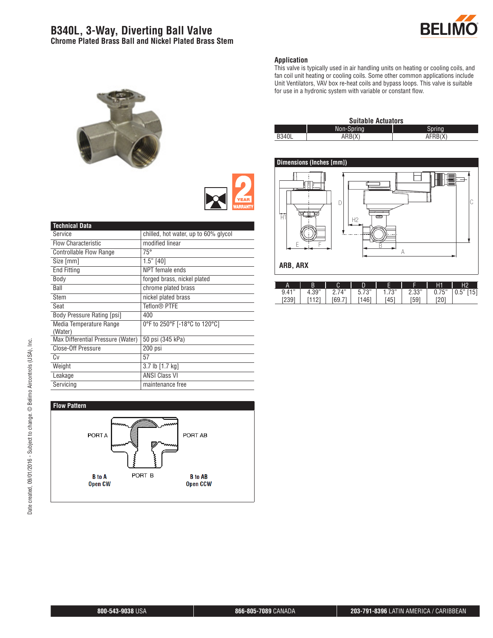# **B340L, 3-Way, Diverting Ball Valve Chrome Plated Brass Ball and Nickel Plated Brass Stem**





#### **Application**

This valve is typically used in air handling units on heating or cooling coils, and fan coil unit heating or cooling coils. Some other common applications include Unit Ventilators, VAV box re-heat coils and bypass loops. This valve is suitable for use in a hydronic system with variable or constant flow.

| <b>Suitable Actuators</b> |            |         |  |  |  |  |
|---------------------------|------------|---------|--|--|--|--|
|                           | Non-Spring | Spring  |  |  |  |  |
| <b>B340L</b>              | ARB(X)     | AFRB(X) |  |  |  |  |



| Δ     | В     | U                       | D                         |               |               | Η1         | H <sub>2</sub> |
|-------|-------|-------------------------|---------------------------|---------------|---------------|------------|----------------|
| 9.41" | 4.39" | $\Lambda$ <sup>33</sup> | フロリ<br>ᄃ<br><u>ບ. / ວ</u> | 70<br>ن ، ، ا | ייממי<br>د.ںء | 75"<br>U.7 | 151<br>U.J     |
| ∠ບວ   |       | 69.7                    | 4ĥ<br>ℸ                   | '45           | i59           | 20         |                |

| <b>Technical Data</b>             |                                      |
|-----------------------------------|--------------------------------------|
| Service                           | chilled, hot water, up to 60% glycol |
| <b>Flow Characteristic</b>        | modified linear                      |
| <b>Controllable Flow Range</b>    | $75^{\circ}$                         |
| Size [mm]                         | $1.5"$ [40]                          |
| <b>End Fitting</b>                | NPT female ends                      |
| Body                              | forged brass, nickel plated          |
| Ball                              | chrome plated brass                  |
| Stem                              | nickel plated brass                  |
| Seat                              | Teflon® PTFE                         |
| <b>Body Pressure Rating [psi]</b> | 400                                  |
| Media Temperature Range           | 0°F to 250°F [-18°C to 120°C]        |
| (Water)                           |                                      |
| Max Differential Pressure (Water) | 50 psi (345 kPa)                     |
| Close-Off Pressure                | 200 psi                              |
| Cv                                | 57                                   |
| Weight                            | 3.7 lb [1.7 kg]                      |
| Leakage                           | <b>ANSI Class VI</b>                 |
| Servicing                         | maintenance free                     |
|                                   |                                      |

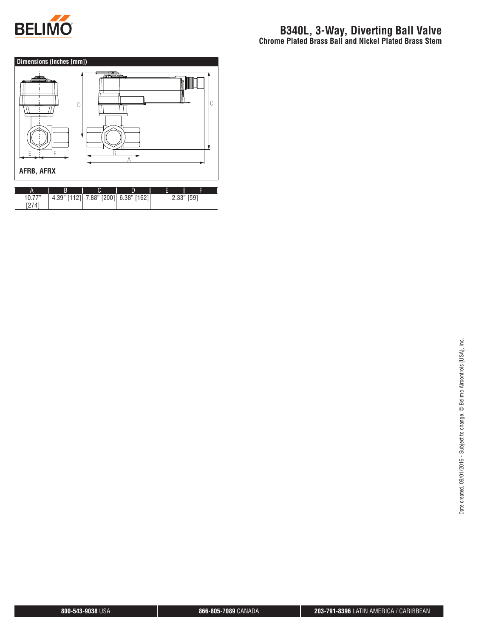

[274]

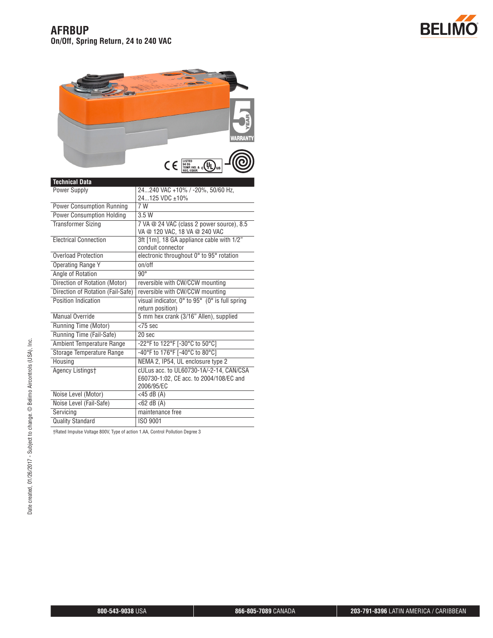



| <b>Technical Data</b>             |                                                                                                  |  |  |  |
|-----------------------------------|--------------------------------------------------------------------------------------------------|--|--|--|
| <b>Power Supply</b>               | 24240 VAC +10% / -20%, 50/60 Hz,                                                                 |  |  |  |
|                                   | 24125 VDC ±10%                                                                                   |  |  |  |
| <b>Power Consumption Running</b>  | 7 W                                                                                              |  |  |  |
| <b>Power Consumption Holding</b>  | 3.5W                                                                                             |  |  |  |
| <b>Transformer Sizing</b>         | 7 VA @ 24 VAC (class 2 power source), 8.5<br>VA @ 120 VAC, 18 VA @ 240 VAC                       |  |  |  |
| <b>Flectrical Connection</b>      | 3ft [1m], 18 GA appliance cable with 1/2"<br>conduit connector                                   |  |  |  |
| Overload Protection               | electronic throughout 0° to 95° rotation                                                         |  |  |  |
| Operating Range Y                 | on/off                                                                                           |  |  |  |
| Angle of Rotation                 | $90^\circ$                                                                                       |  |  |  |
| Direction of Rotation (Motor)     | reversible with CW/CCW mounting                                                                  |  |  |  |
| Direction of Rotation (Fail-Safe) | reversible with CW/CCW mounting                                                                  |  |  |  |
| Position Indication               | visual indicator, 0° to 95° (0° is full spring                                                   |  |  |  |
|                                   | return position)                                                                                 |  |  |  |
| Manual Override                   | 5 mm hex crank (3/16" Allen), supplied                                                           |  |  |  |
| Running Time (Motor)              | $<$ 75 sec                                                                                       |  |  |  |
| Running Time (Fail-Safe)          | $20$ sec                                                                                         |  |  |  |
| Ambient Temperature Range         | -22°F to 122°F [-30°C to 50°C]                                                                   |  |  |  |
| Storage Temperature Range         | -40°F to 176°F [-40°C to 80°C]                                                                   |  |  |  |
| Housing                           | NEMA 2, IP54, UL enclosure type 2                                                                |  |  |  |
| Agency Listingst                  | cULus acc. to UL60730-1A/-2-14, CAN/CSA<br>E60730-1:02, CE acc. to 2004/108/EC and<br>2006/95/EC |  |  |  |
| Noise Level (Motor)               | $<$ 45 dB $(A)$                                                                                  |  |  |  |
| Noise Level (Fail-Safe)           | $<$ 62 dB $(A)$                                                                                  |  |  |  |
| Servicina                         | maintenance free                                                                                 |  |  |  |
| <b>Quality Standard</b>           | ISO 9001                                                                                         |  |  |  |
|                                   |                                                                                                  |  |  |  |

†Rated Impulse Voltage 800V, Type of action 1.AA, Control Pollution Degree 3